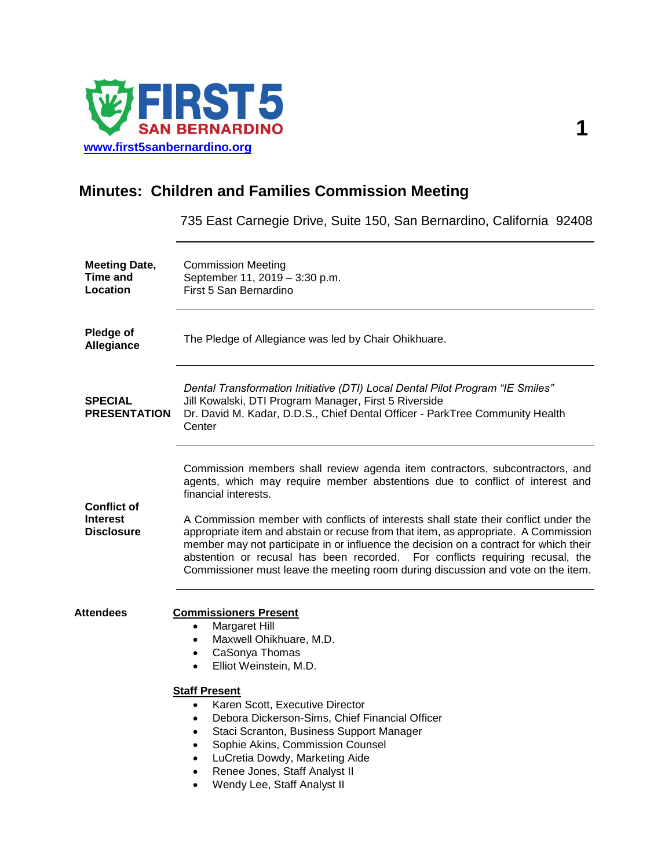

## **Minutes: Children and Families Commission Meeting**

735 East Carnegie Drive, Suite 150, San Bernardino, California 92408

| <b>Meeting Date,</b><br><b>Time and</b><br><b>Location</b> | <b>Commission Meeting</b><br>September 11, 2019 - 3:30 p.m.<br>First 5 San Bernardino                                                                                                                                                                                                                                                                                                                                                                                                                                                                                                                                             |  |
|------------------------------------------------------------|-----------------------------------------------------------------------------------------------------------------------------------------------------------------------------------------------------------------------------------------------------------------------------------------------------------------------------------------------------------------------------------------------------------------------------------------------------------------------------------------------------------------------------------------------------------------------------------------------------------------------------------|--|
| Pledge of<br>Allegiance                                    | The Pledge of Allegiance was led by Chair Ohikhuare.                                                                                                                                                                                                                                                                                                                                                                                                                                                                                                                                                                              |  |
| <b>SPECIAL</b><br><b>PRESENTATION</b>                      | Dental Transformation Initiative (DTI) Local Dental Pilot Program "IE Smiles"<br>Jill Kowalski, DTI Program Manager, First 5 Riverside<br>Dr. David M. Kadar, D.D.S., Chief Dental Officer - ParkTree Community Health<br>Center                                                                                                                                                                                                                                                                                                                                                                                                  |  |
| <b>Conflict of</b><br><b>Interest</b><br><b>Disclosure</b> | Commission members shall review agenda item contractors, subcontractors, and<br>agents, which may require member abstentions due to conflict of interest and<br>financial interests.<br>A Commission member with conflicts of interests shall state their conflict under the<br>appropriate item and abstain or recuse from that item, as appropriate. A Commission<br>member may not participate in or influence the decision on a contract for which their<br>abstention or recusal has been recorded. For conflicts requiring recusal, the<br>Commissioner must leave the meeting room during discussion and vote on the item. |  |
| Attendees                                                  | <b>Commissioners Present</b><br>Margaret Hill<br>$\bullet$<br>Maxwell Ohikhuare, M.D.<br>$\bullet$<br>CaSonya Thomas<br>$\bullet$<br>Elliot Weinstein, M.D.<br>$\bullet$<br><b>Staff Present</b><br>Karen Scott, Executive Director<br>$\bullet$<br>Debora Dickerson-Sims, Chief Financial Officer<br>$\bullet$<br>Staci Scranton, Business Support Manager<br>$\bullet$<br>Sophie Akins, Commission Counsel<br>$\bullet$<br>LuCretia Dowdy, Marketing Aide<br>$\bullet$<br>Renee Jones, Staff Analyst II<br>$\bullet$<br>Wendy Lee, Staff Analyst II                                                                             |  |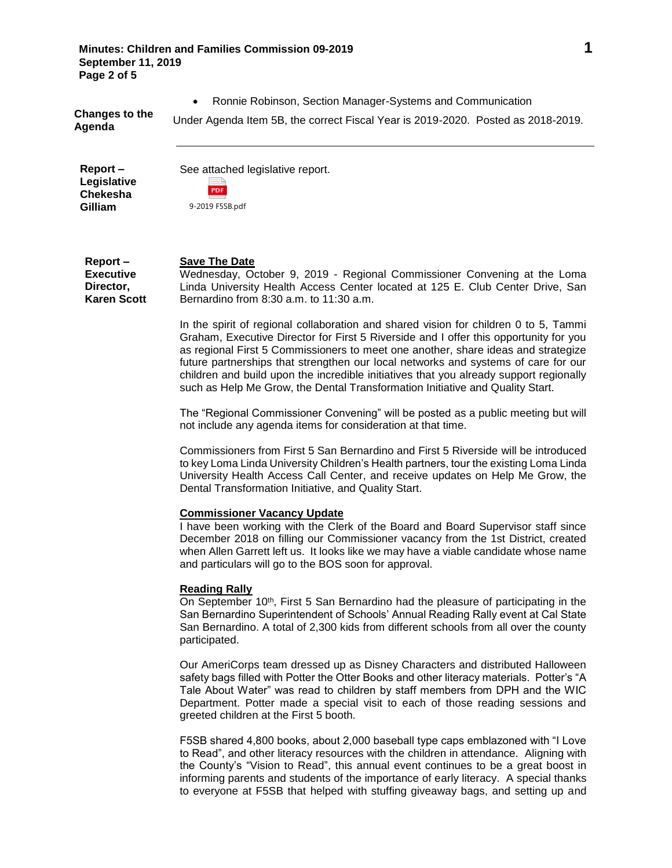**Minutes: Children and Families Commission 09-2019 1 September 11, 2019 Page 2 of 5**

Ronnie Robinson, Section Manager-Systems and Communication

**Report – Legislative Chekesha Gilliam**

See attached legislative report. PDF

|  | 9-2019 F5SB.pdf |  |
|--|-----------------|--|

**Report – Executive Director, Karen Scott Save The Date**  Wednesday, October 9, 2019 - Regional Commissioner Convening at the Loma Linda University Health Access Center located at 125 E. Club Center Drive, San Bernardino from 8:30 a.m. to 11:30 a.m.

> In the spirit of regional collaboration and shared vision for children 0 to 5, Tammi Graham, Executive Director for First 5 Riverside and I offer this opportunity for you as regional First 5 Commissioners to meet one another, share ideas and strategize future partnerships that strengthen our local networks and systems of care for our children and build upon the incredible initiatives that you already support regionally such as Help Me Grow, the Dental Transformation Initiative and Quality Start.

> The "Regional Commissioner Convening" will be posted as a public meeting but will not include any agenda items for consideration at that time.

> Commissioners from First 5 San Bernardino and First 5 Riverside will be introduced to key Loma Linda University Children's Health partners, tour the existing Loma Linda University Health Access Call Center, and receive updates on Help Me Grow, the Dental Transformation Initiative, and Quality Start.

## **Commissioner Vacancy Update**

I have been working with the Clerk of the Board and Board Supervisor staff since December 2018 on filling our Commissioner vacancy from the 1st District, created when Allen Garrett left us. It looks like we may have a viable candidate whose name and particulars will go to the BOS soon for approval.

## **Reading Rally**

On September 10<sup>th</sup>, First 5 San Bernardino had the pleasure of participating in the San Bernardino Superintendent of Schools' Annual Reading Rally event at Cal State San Bernardino. A total of 2,300 kids from different schools from all over the county participated.

Our AmeriCorps team dressed up as Disney Characters and distributed Halloween safety bags filled with Potter the Otter Books and other literacy materials. Potter's "A Tale About Water" was read to children by staff members from DPH and the WIC Department. Potter made a special visit to each of those reading sessions and greeted children at the First 5 booth.

F5SB shared 4,800 books, about 2,000 baseball type caps emblazoned with "I Love to Read", and other literacy resources with the children in attendance. Aligning with the County's "Vision to Read", this annual event continues to be a great boost in informing parents and students of the importance of early literacy. A special thanks to everyone at F5SB that helped with stuffing giveaway bags, and setting up and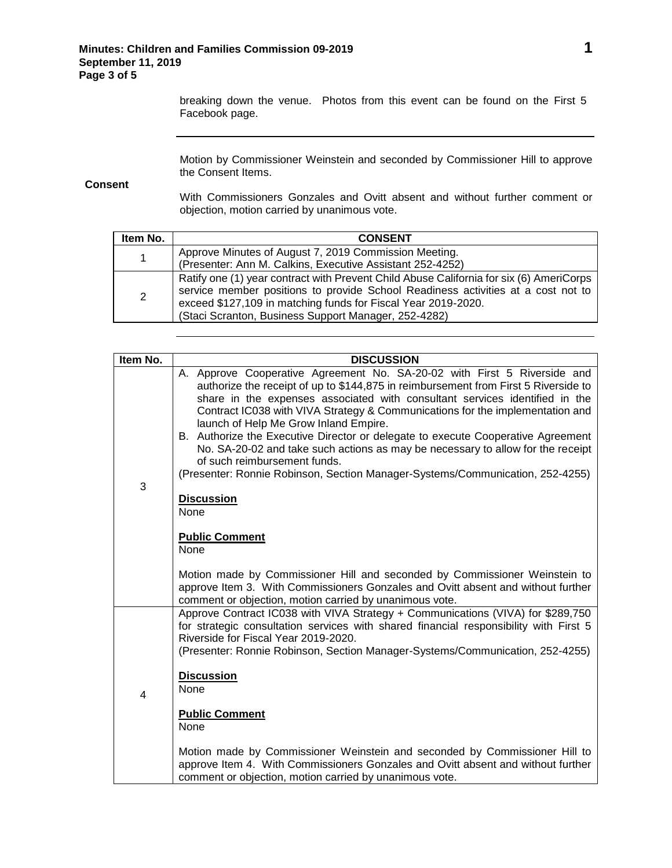breaking down the venue. Photos from this event can be found on the First 5 Facebook page.

Motion by Commissioner Weinstein and seconded by Commissioner Hill to approve the Consent Items.

**Consent**

With Commissioners Gonzales and Ovitt absent and without further comment or objection, motion carried by unanimous vote.

| Item No. | <b>CONSENT</b>                                                                                                                                                                                                                                                                                       |
|----------|------------------------------------------------------------------------------------------------------------------------------------------------------------------------------------------------------------------------------------------------------------------------------------------------------|
| 1        | Approve Minutes of August 7, 2019 Commission Meeting.                                                                                                                                                                                                                                                |
|          | (Presenter: Ann M. Calkins, Executive Assistant 252-4252)                                                                                                                                                                                                                                            |
| 2        | Ratify one (1) year contract with Prevent Child Abuse California for six (6) AmeriCorps<br>service member positions to provide School Readiness activities at a cost not to<br>exceed \$127,109 in matching funds for Fiscal Year 2019-2020.<br>(Staci Scranton, Business Support Manager, 252-4282) |

| Item No.       | <b>DISCUSSION</b>                                                                                                                                                                                                                                                                                                                                                                                                                                                                                                                                                                                                                                                |
|----------------|------------------------------------------------------------------------------------------------------------------------------------------------------------------------------------------------------------------------------------------------------------------------------------------------------------------------------------------------------------------------------------------------------------------------------------------------------------------------------------------------------------------------------------------------------------------------------------------------------------------------------------------------------------------|
| 3              | A. Approve Cooperative Agreement No. SA-20-02 with First 5 Riverside and<br>authorize the receipt of up to \$144,875 in reimbursement from First 5 Riverside to<br>share in the expenses associated with consultant services identified in the<br>Contract IC038 with VIVA Strategy & Communications for the implementation and<br>launch of Help Me Grow Inland Empire.<br>B. Authorize the Executive Director or delegate to execute Cooperative Agreement<br>No. SA-20-02 and take such actions as may be necessary to allow for the receipt<br>of such reimbursement funds.<br>(Presenter: Ronnie Robinson, Section Manager-Systems/Communication, 252-4255) |
|                | <b>Discussion</b><br>None<br><b>Public Comment</b><br>None                                                                                                                                                                                                                                                                                                                                                                                                                                                                                                                                                                                                       |
|                | Motion made by Commissioner Hill and seconded by Commissioner Weinstein to<br>approve Item 3. With Commissioners Gonzales and Ovitt absent and without further<br>comment or objection, motion carried by unanimous vote.                                                                                                                                                                                                                                                                                                                                                                                                                                        |
| $\overline{4}$ | Approve Contract IC038 with VIVA Strategy + Communications (VIVA) for \$289,750<br>for strategic consultation services with shared financial responsibility with First 5<br>Riverside for Fiscal Year 2019-2020.<br>(Presenter: Ronnie Robinson, Section Manager-Systems/Communication, 252-4255)                                                                                                                                                                                                                                                                                                                                                                |
|                | <b>Discussion</b><br>None                                                                                                                                                                                                                                                                                                                                                                                                                                                                                                                                                                                                                                        |
|                | <b>Public Comment</b><br>None                                                                                                                                                                                                                                                                                                                                                                                                                                                                                                                                                                                                                                    |
|                | Motion made by Commissioner Weinstein and seconded by Commissioner Hill to<br>approve Item 4. With Commissioners Gonzales and Ovitt absent and without further<br>comment or objection, motion carried by unanimous vote.                                                                                                                                                                                                                                                                                                                                                                                                                                        |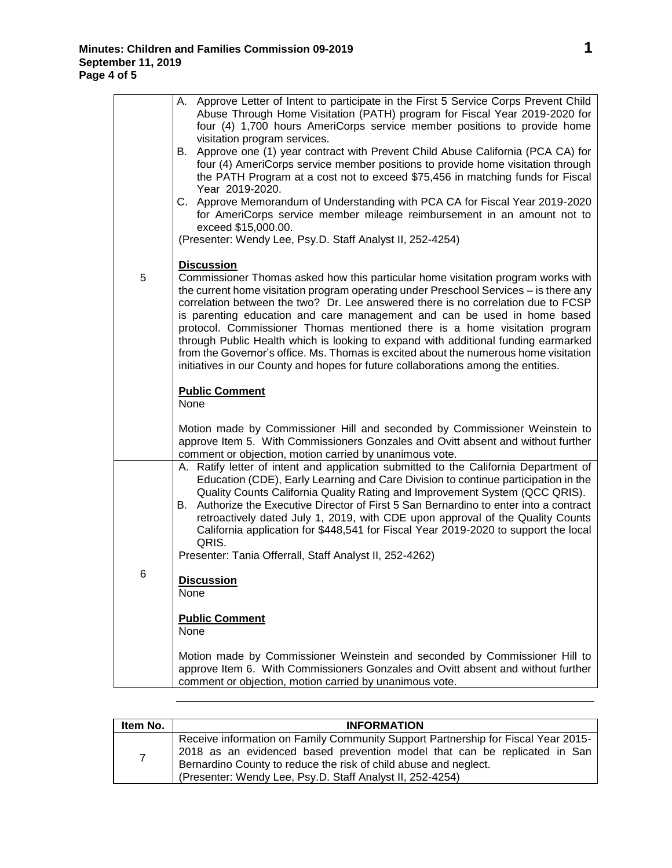|   | A. Approve Letter of Intent to participate in the First 5 Service Corps Prevent Child<br>Abuse Through Home Visitation (PATH) program for Fiscal Year 2019-2020 for<br>four (4) 1,700 hours AmeriCorps service member positions to provide home<br>visitation program services.<br>B. Approve one (1) year contract with Prevent Child Abuse California (PCA CA) for<br>four (4) AmeriCorps service member positions to provide home visitation through<br>the PATH Program at a cost not to exceed \$75,456 in matching funds for Fiscal<br>Year 2019-2020.<br>C. Approve Memorandum of Understanding with PCA CA for Fiscal Year 2019-2020<br>for AmeriCorps service member mileage reimbursement in an amount not to<br>exceed \$15,000.00.<br>(Presenter: Wendy Lee, Psy.D. Staff Analyst II, 252-4254) |
|---|-------------------------------------------------------------------------------------------------------------------------------------------------------------------------------------------------------------------------------------------------------------------------------------------------------------------------------------------------------------------------------------------------------------------------------------------------------------------------------------------------------------------------------------------------------------------------------------------------------------------------------------------------------------------------------------------------------------------------------------------------------------------------------------------------------------|
| 5 | <b>Discussion</b><br>Commissioner Thomas asked how this particular home visitation program works with<br>the current home visitation program operating under Preschool Services - is there any<br>correlation between the two? Dr. Lee answered there is no correlation due to FCSP<br>is parenting education and care management and can be used in home based<br>protocol. Commissioner Thomas mentioned there is a home visitation program<br>through Public Health which is looking to expand with additional funding earmarked<br>from the Governor's office. Ms. Thomas is excited about the numerous home visitation<br>initiatives in our County and hopes for future collaborations among the entities.                                                                                            |
|   | <b>Public Comment</b><br>None                                                                                                                                                                                                                                                                                                                                                                                                                                                                                                                                                                                                                                                                                                                                                                               |
|   | Motion made by Commissioner Hill and seconded by Commissioner Weinstein to<br>approve Item 5. With Commissioners Gonzales and Ovitt absent and without further<br>comment or objection, motion carried by unanimous vote.                                                                                                                                                                                                                                                                                                                                                                                                                                                                                                                                                                                   |
|   | A. Ratify letter of intent and application submitted to the California Department of<br>Education (CDE), Early Learning and Care Division to continue participation in the<br>Quality Counts California Quality Rating and Improvement System (QCC QRIS).<br>B. Authorize the Executive Director of First 5 San Bernardino to enter into a contract<br>retroactively dated July 1, 2019, with CDE upon approval of the Quality Counts<br>California application for \$448,541 for Fiscal Year 2019-2020 to support the local<br>QRIS.                                                                                                                                                                                                                                                                       |
|   | Presenter: Tania Offerrall, Staff Analyst II, 252-4262)                                                                                                                                                                                                                                                                                                                                                                                                                                                                                                                                                                                                                                                                                                                                                     |
| 6 | <b>Discussion</b><br>None                                                                                                                                                                                                                                                                                                                                                                                                                                                                                                                                                                                                                                                                                                                                                                                   |
|   | <b>Public Comment</b><br>None                                                                                                                                                                                                                                                                                                                                                                                                                                                                                                                                                                                                                                                                                                                                                                               |
|   | Motion made by Commissioner Weinstein and seconded by Commissioner Hill to<br>approve Item 6. With Commissioners Gonzales and Ovitt absent and without further<br>comment or objection, motion carried by unanimous vote.                                                                                                                                                                                                                                                                                                                                                                                                                                                                                                                                                                                   |

| Item No.       | <b>INFORMATION</b>                                                                                                                                                                                                                                                                              |
|----------------|-------------------------------------------------------------------------------------------------------------------------------------------------------------------------------------------------------------------------------------------------------------------------------------------------|
| $\overline{7}$ | Receive information on Family Community Support Partnership for Fiscal Year 2015-<br>2018 as an evidenced based prevention model that can be replicated in San<br>Bernardino County to reduce the risk of child abuse and neglect.<br>(Presenter: Wendy Lee, Psy.D. Staff Analyst II, 252-4254) |